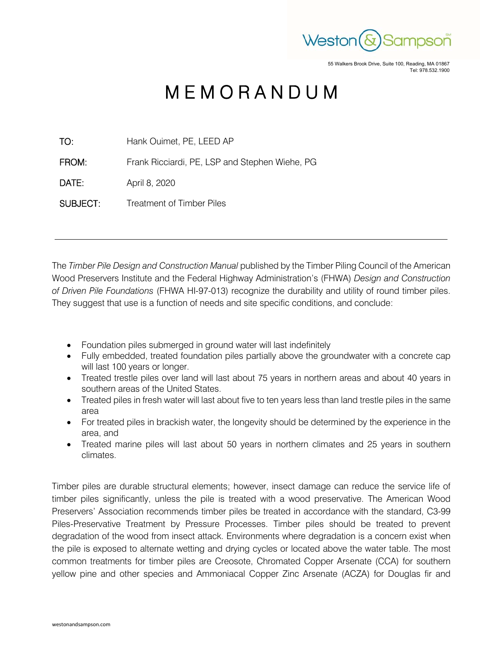

55 Walkers Brook Drive, Suite 100, Reading, MA 01867 Tel: 978.532.1900

## M E M O R A N D U M

TO: Hank Ouimet, PE, LEED AP

FROM: Frank Ricciardi, PE, LSP and Stephen Wiehe, PG

DATE: April 8, 2020

**SUBJECT:** Treatment of Timber Piles

The *Timber Pile Design and Construction Manual* published by the Timber Piling Council of the American Wood Preservers Institute and the Federal Highway Administration's (FHWA) *Design and Construction of Driven Pile Foundations* (FHWA HI-97-013) recognize the durability and utility of round timber piles. They suggest that use is a function of needs and site specific conditions, and conclude:

- Foundation piles submerged in ground water will last indefinitely
- Fully embedded, treated foundation piles partially above the groundwater with a concrete cap will last 100 years or longer.
- Treated trestle piles over land will last about 75 years in northern areas and about 40 years in southern areas of the United States.
- Treated piles in fresh water will last about five to ten years less than land trestle piles in the same area
- For treated piles in brackish water, the longevity should be determined by the experience in the area, and
- Treated marine piles will last about 50 years in northern climates and 25 years in southern climates.

Timber piles are durable structural elements; however, insect damage can reduce the service life of timber piles significantly, unless the pile is treated with a wood preservative. The American Wood Preservers' Association recommends timber piles be treated in accordance with the standard, C3-99 Piles-Preservative Treatment by Pressure Processes. Timber piles should be treated to prevent degradation of the wood from insect attack. Environments where degradation is a concern exist when the pile is exposed to alternate wetting and drying cycles or located above the water table. The most common treatments for timber piles are Creosote, Chromated Copper Arsenate (CCA) for southern yellow pine and other species and Ammoniacal Copper Zinc Arsenate (ACZA) for Douglas fir and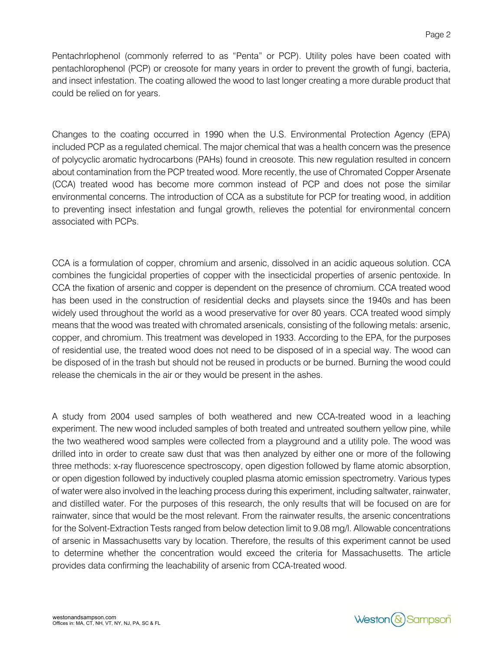Pentachrlophenol (commonly referred to as "Penta" or PCP). Utility poles have been coated with pentachlorophenol (PCP) or creosote for many years in order to prevent the growth of fungi, bacteria, and insect infestation. The coating allowed the wood to last longer creating a more durable product that could be relied on for years.

Changes to the coating occurred in 1990 when the U.S. Environmental Protection Agency (EPA) included PCP as a regulated chemical. The major chemical that was a health concern was the presence of polycyclic aromatic hydrocarbons (PAHs) found in creosote. This new regulation resulted in concern about contamination from the PCP treated wood. More recently, the use of Chromated Copper Arsenate (CCA) treated wood has become more common instead of PCP and does not pose the similar environmental concerns. The introduction of CCA as a substitute for PCP for treating wood, in addition to preventing insect infestation and fungal growth, relieves the potential for environmental concern associated with PCPs.

CCA is a formulation of copper, chromium and arsenic, dissolved in an acidic aqueous solution. CCA combines the fungicidal properties of copper with the insecticidal properties of arsenic pentoxide. In CCA the fixation of arsenic and copper is dependent on the presence of chromium. CCA treated wood has been used in the construction of residential decks and playsets since the 1940s and has been widely used throughout the world as a wood preservative for over 80 years. CCA treated wood simply means that the wood was treated with chromated arsenicals, consisting of the following metals: arsenic, copper, and chromium. This treatment was developed in 1933. According to the EPA, for the purposes of residential use, the treated wood does not need to be disposed of in a special way. The wood can be disposed of in the trash but should not be reused in products or be burned. Burning the wood could release the chemicals in the air or they would be present in the ashes.

A study from 2004 used samples of both weathered and new CCA-treated wood in a leaching experiment. The new wood included samples of both treated and untreated southern yellow pine, while the two weathered wood samples were collected from a playground and a utility pole. The wood was drilled into in order to create saw dust that was then analyzed by either one or more of the following three methods: x-ray fluorescence spectroscopy, open digestion followed by flame atomic absorption, or open digestion followed by inductively coupled plasma atomic emission spectrometry. Various types of water were also involved in the leaching process during this experiment, including saltwater, rainwater, and distilled water. For the purposes of this research, the only results that will be focused on are for rainwater, since that would be the most relevant. From the rainwater results, the arsenic concentrations for the Solvent-Extraction Tests ranged from below detection limit to 9.08 mg/l. Allowable concentrations of arsenic in Massachusetts vary by location. Therefore, the results of this experiment cannot be used to determine whether the concentration would exceed the criteria for Massachusetts. The article provides data confirming the leachability of arsenic from CCA-treated wood.

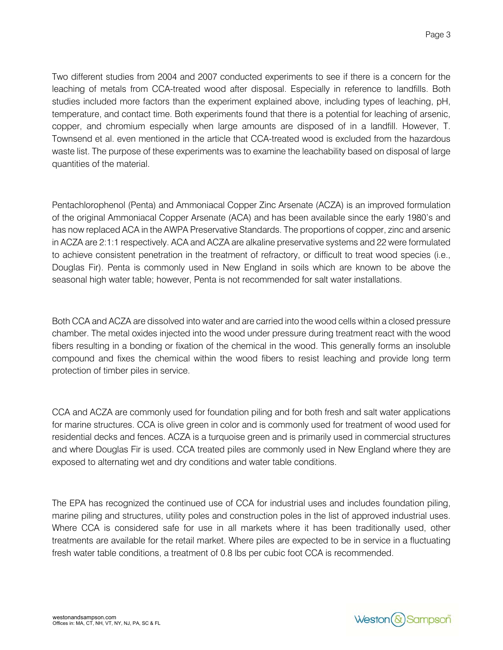Two different studies from 2004 and 2007 conducted experiments to see if there is a concern for the leaching of metals from CCA-treated wood after disposal. Especially in reference to landfills. Both studies included more factors than the experiment explained above, including types of leaching, pH, temperature, and contact time. Both experiments found that there is a potential for leaching of arsenic, copper, and chromium especially when large amounts are disposed of in a landfill. However, T. Townsend et al. even mentioned in the article that CCA-treated wood is excluded from the hazardous waste list. The purpose of these experiments was to examine the leachability based on disposal of large quantities of the material.

Pentachlorophenol (Penta) and Ammoniacal Copper Zinc Arsenate (ACZA) is an improved formulation of the original Ammoniacal Copper Arsenate (ACA) and has been available since the early 1980's and has now replaced ACA in the AWPA Preservative Standards. The proportions of copper, zinc and arsenic in ACZA are 2:1:1 respectively. ACA and ACZA are alkaline preservative systems and 22 were formulated to achieve consistent penetration in the treatment of refractory, or difficult to treat wood species (i.e., Douglas Fir). Penta is commonly used in New England in soils which are known to be above the seasonal high water table; however, Penta is not recommended for salt water installations.

Both CCA and ACZA are dissolved into water and are carried into the wood cells within a closed pressure chamber. The metal oxides injected into the wood under pressure during treatment react with the wood fibers resulting in a bonding or fixation of the chemical in the wood. This generally forms an insoluble compound and fixes the chemical within the wood fibers to resist leaching and provide long term protection of timber piles in service.

CCA and ACZA are commonly used for foundation piling and for both fresh and salt water applications for marine structures. CCA is olive green in color and is commonly used for treatment of wood used for residential decks and fences. ACZA is a turquoise green and is primarily used in commercial structures and where Douglas Fir is used. CCA treated piles are commonly used in New England where they are exposed to alternating wet and dry conditions and water table conditions.

The EPA has recognized the continued use of CCA for industrial uses and includes foundation piling, marine piling and structures, utility poles and construction poles in the list of approved industrial uses. Where CCA is considered safe for use in all markets where it has been traditionally used, other treatments are available for the retail market. Where piles are expected to be in service in a fluctuating fresh water table conditions, a treatment of 0.8 lbs per cubic foot CCA is recommended.

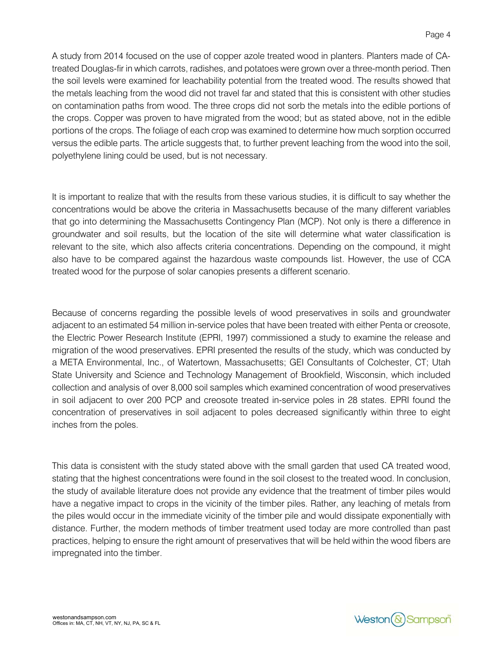A study from 2014 focused on the use of copper azole treated wood in planters. Planters made of CAtreated Douglas-fir in which carrots, radishes, and potatoes were grown over a three-month period. Then the soil levels were examined for leachability potential from the treated wood. The results showed that the metals leaching from the wood did not travel far and stated that this is consistent with other studies on contamination paths from wood. The three crops did not sorb the metals into the edible portions of the crops. Copper was proven to have migrated from the wood; but as stated above, not in the edible portions of the crops. The foliage of each crop was examined to determine how much sorption occurred versus the edible parts. The article suggests that, to further prevent leaching from the wood into the soil, polyethylene lining could be used, but is not necessary.

It is important to realize that with the results from these various studies, it is difficult to say whether the concentrations would be above the criteria in Massachusetts because of the many different variables that go into determining the Massachusetts Contingency Plan (MCP). Not only is there a difference in groundwater and soil results, but the location of the site will determine what water classification is relevant to the site, which also affects criteria concentrations. Depending on the compound, it might also have to be compared against the hazardous waste compounds list. However, the use of CCA treated wood for the purpose of solar canopies presents a different scenario.

Because of concerns regarding the possible levels of wood preservatives in soils and groundwater adjacent to an estimated 54 million in-service poles that have been treated with either Penta or creosote, the Electric Power Research Institute (EPRI, 1997) commissioned a study to examine the release and migration of the wood preservatives. EPRI presented the results of the study, which was conducted by a META Environmental, Inc., of Watertown, Massachusetts; GEI Consultants of Colchester, CT; Utah State University and Science and Technology Management of Brookfield, Wisconsin, which included collection and analysis of over 8,000 soil samples which examined concentration of wood preservatives in soil adjacent to over 200 PCP and creosote treated in-service poles in 28 states. EPRI found the concentration of preservatives in soil adjacent to poles decreased significantly within three to eight inches from the poles.

This data is consistent with the study stated above with the small garden that used CA treated wood, stating that the highest concentrations were found in the soil closest to the treated wood. In conclusion, the study of available literature does not provide any evidence that the treatment of timber piles would have a negative impact to crops in the vicinity of the timber piles. Rather, any leaching of metals from the piles would occur in the immediate vicinity of the timber pile and would dissipate exponentially with distance. Further, the modern methods of timber treatment used today are more controlled than past practices, helping to ensure the right amount of preservatives that will be held within the wood fibers are impregnated into the timber.